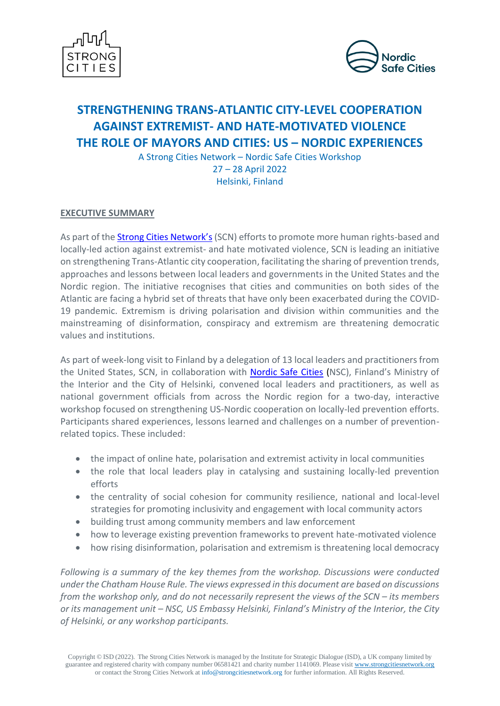



# **STRENGTHENING TRANS-ATLANTIC CITY-LEVEL COOPERATION AGAINST EXTREMIST- AND HATE-MOTIVATED VIOLENCE THE ROLE OF MAYORS AND CITIES: US – NORDIC EXPERIENCES**

A Strong Cities Network – Nordic Safe Cities Workshop 27 – 28 April 2022 Helsinki, Finland

# **EXECUTIVE SUMMARY**

As part of th[e Strong Cities Network](https://strongcitiesnetwork.org/)'s (SCN) efforts to promote more human rights-based and locally-led action against extremist- and hate motivated violence, SCN is leading an initiative on strengthening Trans-Atlantic city cooperation, facilitating the sharing of prevention trends, approaches and lessons between local leaders and governments in the United States and the Nordic region. The initiative recognises that cities and communities on both sides of the Atlantic are facing a hybrid set of threats that have only been exacerbated during the COVID-19 pandemic. Extremism is driving polarisation and division within communities and the mainstreaming of disinformation, conspiracy and extremism are threatening democratic values and institutions.

As part of week-long visit to Finland by a delegation of 13 local leaders and practitioners from the United States, SCN, in collaboration with [Nordic Safe Cities](https://nordicsafecities.org/) (NSC), Finland's Ministry of the Interior and the City of Helsinki, convened local leaders and practitioners, as well as national government officials from across the Nordic region for a two-day, interactive workshop focused on strengthening US-Nordic cooperation on locally-led prevention efforts. Participants shared experiences, lessons learned and challenges on a number of preventionrelated topics. These included:

- the impact of online hate, polarisation and extremist activity in local communities
- the role that local leaders play in catalysing and sustaining locally-led prevention efforts
- the centrality of social cohesion for community resilience, national and local-level strategies for promoting inclusivity and engagement with local community actors
- building trust among community members and law enforcement
- how to leverage existing prevention frameworks to prevent hate-motivated violence
- how rising disinformation, polarisation and extremism is threatening local democracy

*Following is a summary of the key themes from the workshop. Discussions were conducted under the Chatham House Rule. The views expressed in this document are based on discussions from the workshop only, and do not necessarily represent the views of the SCN – its members or its management unit – NSC, US Embassy Helsinki, Finland's Ministry of the Interior, the City of Helsinki, or any workshop participants.*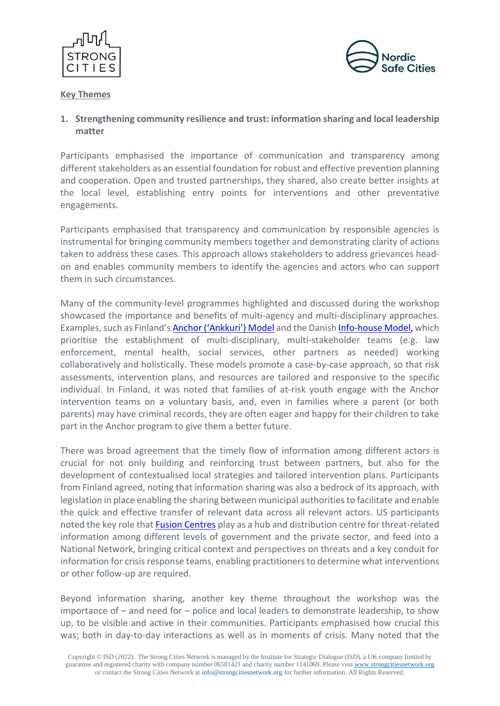



### **Key Themes**

# **1. Strengthening community resilience and trust: information sharing and local leadership matter**

Participants emphasised the importance of communication and transparency among different stakeholders as an essential foundation for robust and effective prevention planning and cooperation. Open and trusted partnerships, they shared, also create better insights at the local level, establishing entry points for interventions and other preventative engagements.

Participants emphasised that transparency and communication by responsible agencies is instrumental for bringing community members together and demonstrating clarity of actions taken to address these cases. This approach allows stakeholders to address grievances headon and enables community members to identify the agencies and actors who can support them in such circumstances.

Many of the community-level programmes highlighted and discussed during the workshop showcased the importance and benefits of multi-agency and multi-disciplinary approaches. Examples, such as Finland's Anchor [\('Ankkuri'\)](https://ankkuritoiminta.fi/en/anchor-work-in-finland) Model and the Danish [Info-house](https://www.ft.dk/samling/20151/almdel/reu/bilag/248/1617692.pdf) Model, which prioritise the establishment of multi-disciplinary, multi-stakeholder teams (e.g. law enforcement, mental health, social services, other partners as needed) working collaboratively and holistically. These models promote a case-by-case approach, so that risk assessments, intervention plans, and resources are tailored and responsive to the specific individual. In Finland, it was noted that families of at-risk youth engage with the Anchor intervention teams on a voluntary basis, and, even in families where a parent (or both parents) may have criminal records, they are often eager and happy for their children to take part in the Anchor program to give them a better future.

There was broad agreement that the timely flow of information among different actors is crucial for not only building and reinforcing trust between partners, but also for the development of contextualised local strategies and tailored intervention plans. Participants from Finland agreed, noting that information sharing was also a bedrock of its approach, with legislation in place enabling the sharing between municipal authorities to facilitate and enable the quick and effective transfer of relevant data across all relevant actors. US participants noted the key role that [Fusion Centres](https://www.dhs.gov/fusion-centers) play as a hub and distribution centre for threat-related information among different levels of government and the private sector, and feed into a National Network, bringing critical context and perspectives on threats and a key conduit for information for crisis response teams, enabling practitioners to determine what interventions or other follow-up are required.

Beyond information sharing, another key theme throughout the workshop was the importance of – and need for – police and local leaders to demonstrate leadership, to show up, to be visible and active in their communities. Participants emphasised how crucial this was; both in day-to-day interactions as well as in moments of crisis. Many noted that the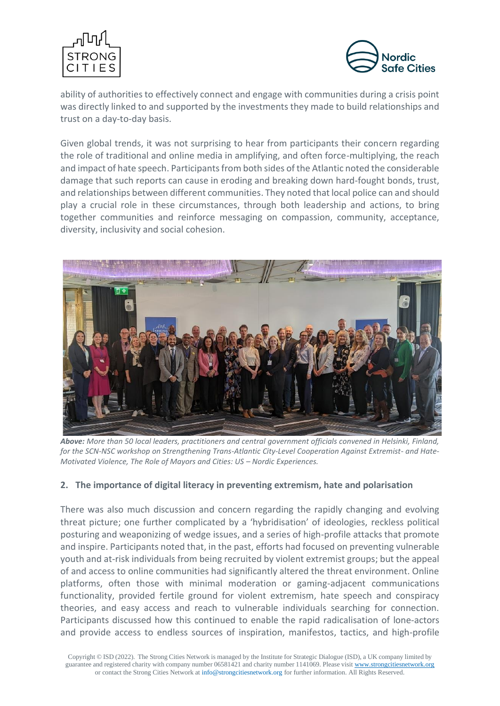



ability of authorities to effectively connect and engage with communities during a crisis point was directly linked to and supported by the investments they made to build relationships and trust on a day-to-day basis.

Given global trends, it was not surprising to hear from participants their concern regarding the role of traditional and online media in amplifying, and often force-multiplying, the reach and impact of hate speech. Participants from both sides of the Atlantic noted the considerable damage that such reports can cause in eroding and breaking down hard-fought bonds, trust, and relationships between different communities. They noted that local police can and should play a crucial role in these circumstances, through both leadership and actions, to bring together communities and reinforce messaging on compassion, community, acceptance, diversity, inclusivity and social cohesion.



*Above: More than 50 local leaders, practitioners and central government officials convened in Helsinki, Finland, for the SCN-NSC workshop on Strengthening Trans-Atlantic City-Level Cooperation Against Extremist- and Hate-Motivated Violence, The Role of Mayors and Cities: US – Nordic Experiences.* 

## **2. The importance of digital literacy in preventing extremism, hate and polarisation**

There was also much discussion and concern regarding the rapidly changing and evolving threat picture; one further complicated by a 'hybridisation' of ideologies, reckless political posturing and weaponizing of wedge issues, and a series of high-profile attacks that promote and inspire. Participants noted that, in the past, efforts had focused on preventing vulnerable youth and at-risk individuals from being recruited by violent extremist groups; but the appeal of and access to online communities had significantly altered the threat environment. Online platforms, often those with minimal moderation or gaming-adjacent communications functionality, provided fertile ground for violent extremism, hate speech and conspiracy theories, and easy access and reach to vulnerable individuals searching for connection. Participants discussed how this continued to enable the rapid radicalisation of lone-actors and provide access to endless sources of inspiration, manifestos, tactics, and high-profile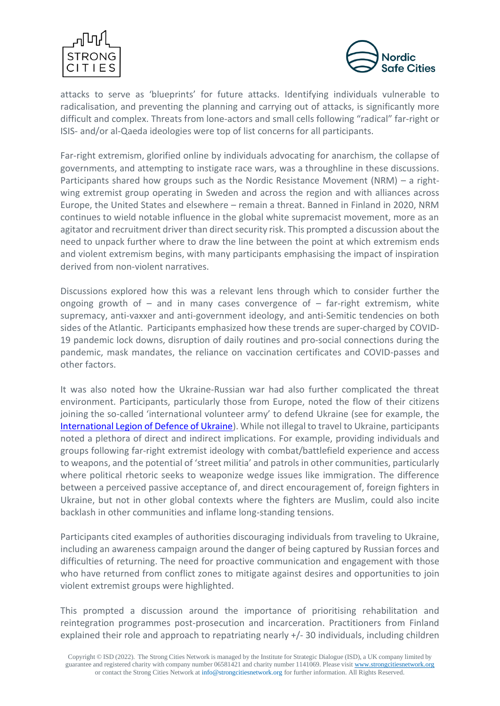



attacks to serve as 'blueprints' for future attacks. Identifying individuals vulnerable to radicalisation, and preventing the planning and carrying out of attacks, is significantly more difficult and complex. Threats from lone-actors and small cells following "radical" far-right or ISIS- and/or al-Qaeda ideologies were top of list concerns for all participants.

Far-right extremism, glorified online by individuals advocating for anarchism, the collapse of governments, and attempting to instigate race wars, was a throughline in these discussions. Participants shared how groups such as the Nordic Resistance Movement (NRM) – a rightwing extremist group operating in Sweden and across the region and with alliances across Europe, the United States and elsewhere – remain a threat. Banned in Finland in 2020, NRM continues to wield notable influence in the global white supremacist movement, more as an agitator and recruitment driver than direct security risk. This prompted a discussion about the need to unpack further where to draw the line between the point at which extremism ends and violent extremism begins, with many participants emphasising the impact of inspiration derived from non-violent narratives.

Discussions explored how this was a relevant lens through which to consider further the ongoing growth of  $-$  and in many cases convergence of  $-$  far-right extremism, white supremacy, anti-vaxxer and anti-government ideology, and anti-Semitic tendencies on both sides of the Atlantic. Participants emphasized how these trends are super-charged by COVID-19 pandemic lock downs, disruption of daily routines and pro-social connections during the pandemic, mask mandates, the reliance on vaccination certificates and COVID-passes and other factors.

It was also noted how the Ukraine-Russian war had also further complicated the threat environment. Participants, particularly those from Europe, noted the flow of their citizens joining the so-called 'international volunteer army' to defend Ukraine (see for example, the [International Legion of Defence of Ukraine\)](https://fightforua.org/). While not illegal to travel to Ukraine, participants noted a plethora of direct and indirect implications. For example, providing individuals and groups following far-right extremist ideology with combat/battlefield experience and access to weapons, and the potential of 'street militia' and patrols in other communities, particularly where political rhetoric seeks to weaponize wedge issues like immigration. The difference between a perceived passive acceptance of, and direct encouragement of, foreign fighters in Ukraine, but not in other global contexts where the fighters are Muslim, could also incite backlash in other communities and inflame long-standing tensions.

Participants cited examples of authorities discouraging individuals from traveling to Ukraine, including an awareness campaign around the danger of being captured by Russian forces and difficulties of returning. The need for proactive communication and engagement with those who have returned from conflict zones to mitigate against desires and opportunities to join violent extremist groups were highlighted.

This prompted a discussion around the importance of prioritising rehabilitation and reintegration programmes post-prosecution and incarceration. Practitioners from Finland explained their role and approach to repatriating nearly +/- 30 individuals, including children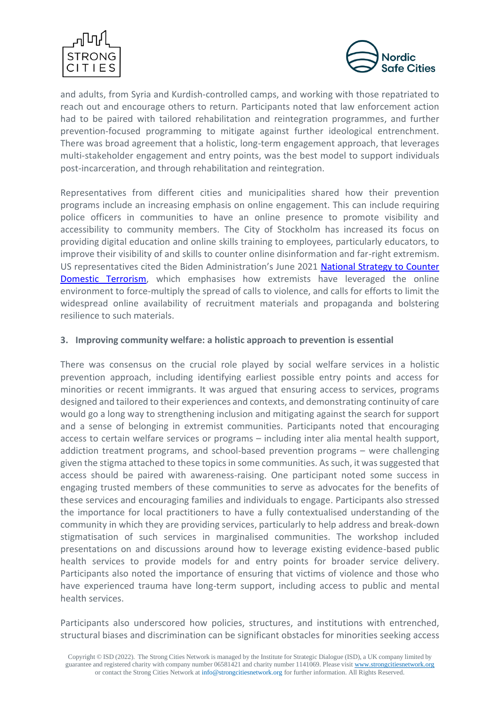



and adults, from Syria and Kurdish-controlled camps, and working with those repatriated to reach out and encourage others to return. Participants noted that law enforcement action had to be paired with tailored rehabilitation and reintegration programmes, and further prevention-focused programming to mitigate against further ideological entrenchment. There was broad agreement that a holistic, long-term engagement approach, that leverages multi-stakeholder engagement and entry points, was the best model to support individuals post-incarceration, and through rehabilitation and reintegration.

Representatives from different cities and municipalities shared how their prevention programs include an increasing emphasis on online engagement. This can include requiring police officers in communities to have an online presence to promote visibility and accessibility to community members. The City of Stockholm has increased its focus on providing digital education and online skills training to employees, particularly educators, to improve their visibility of and skills to counter online disinformation and far-right extremism. US representatives cited the Biden Administration's June 2021 [National Strategy to Counter](https://www.whitehouse.gov/wp-content/uploads/2021/06/National-Strategy-for-Countering-Domestic-Terrorism.pdf)  [Domestic Terrorism,](https://www.whitehouse.gov/wp-content/uploads/2021/06/National-Strategy-for-Countering-Domestic-Terrorism.pdf) which emphasises how extremists have leveraged the online environment to force-multiply the spread of calls to violence, and calls for efforts to limit the widespread online availability of recruitment materials and propaganda and bolstering resilience to such materials.

# **3. Improving community welfare: a holistic approach to prevention is essential**

There was consensus on the crucial role played by social welfare services in a holistic prevention approach, including identifying earliest possible entry points and access for minorities or recent immigrants. It was argued that ensuring access to services, programs designed and tailored to their experiences and contexts, and demonstrating continuity of care would go a long way to strengthening inclusion and mitigating against the search for support and a sense of belonging in extremist communities. Participants noted that encouraging access to certain welfare services or programs – including inter alia mental health support, addiction treatment programs, and school-based prevention programs – were challenging given the stigma attached to these topics in some communities. As such, it was suggested that access should be paired with awareness-raising. One participant noted some success in engaging trusted members of these communities to serve as advocates for the benefits of these services and encouraging families and individuals to engage. Participants also stressed the importance for local practitioners to have a fully contextualised understanding of the community in which they are providing services, particularly to help address and break-down stigmatisation of such services in marginalised communities. The workshop included presentations on and discussions around how to leverage existing evidence-based public health services to provide models for and entry points for broader service delivery. Participants also noted the importance of ensuring that victims of violence and those who have experienced trauma have long-term support, including access to public and mental health services.

Participants also underscored how policies, structures, and institutions with entrenched, structural biases and discrimination can be significant obstacles for minorities seeking access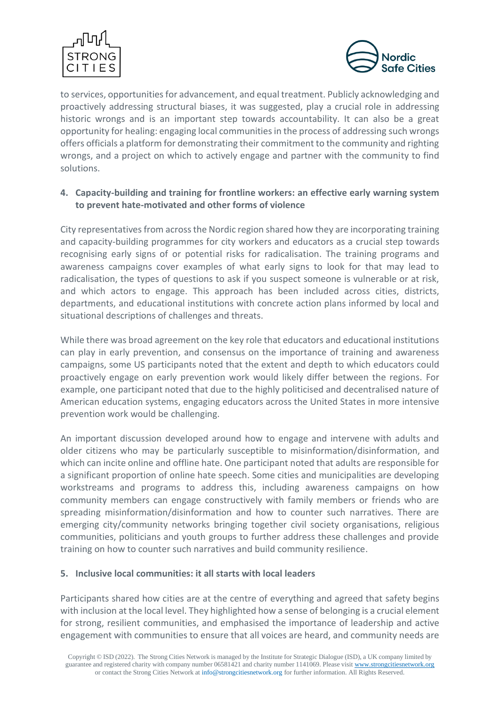



to services, opportunities for advancement, and equal treatment. Publicly acknowledging and proactively addressing structural biases, it was suggested, play a crucial role in addressing historic wrongs and is an important step towards accountability. It can also be a great opportunity for healing: engaging local communities in the process of addressing such wrongs offers officials a platform for demonstrating their commitment to the community and righting wrongs, and a project on which to actively engage and partner with the community to find solutions.

# **4. Capacity-building and training for frontline workers: an effective early warning system to prevent hate-motivated and other forms of violence**

City representatives from across the Nordic region shared how they are incorporating training and capacity-building programmes for city workers and educators as a crucial step towards recognising early signs of or potential risks for radicalisation. The training programs and awareness campaigns cover examples of what early signs to look for that may lead to radicalisation, the types of questions to ask if you suspect someone is vulnerable or at risk, and which actors to engage. This approach has been included across cities, districts, departments, and educational institutions with concrete action plans informed by local and situational descriptions of challenges and threats.

While there was broad agreement on the key role that educators and educational institutions can play in early prevention, and consensus on the importance of training and awareness campaigns, some US participants noted that the extent and depth to which educators could proactively engage on early prevention work would likely differ between the regions. For example, one participant noted that due to the highly politicised and decentralised nature of American education systems, engaging educators across the United States in more intensive prevention work would be challenging.

An important discussion developed around how to engage and intervene with adults and older citizens who may be particularly susceptible to misinformation/disinformation, and which can incite online and offline hate. One participant noted that adults are responsible for a significant proportion of online hate speech. Some cities and municipalities are developing workstreams and programs to address this, including awareness campaigns on how community members can engage constructively with family members or friends who are spreading misinformation/disinformation and how to counter such narratives. There are emerging city/community networks bringing together civil society organisations, religious communities, politicians and youth groups to further address these challenges and provide training on how to counter such narratives and build community resilience.

# **5. Inclusive local communities: it all starts with local leaders**

Participants shared how cities are at the centre of everything and agreed that safety begins with inclusion at the local level. They highlighted how a sense of belonging is a crucial element for strong, resilient communities, and emphasised the importance of leadership and active engagement with communities to ensure that all voices are heard, and community needs are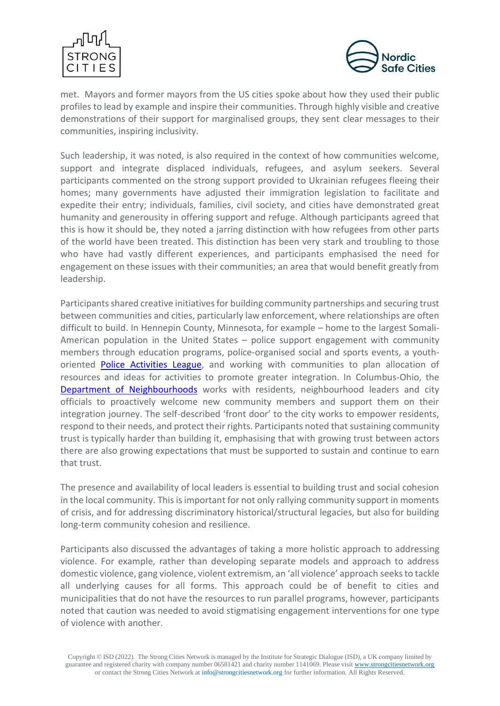



met. Mayors and former mayors from the US cities spoke about how they used their public profiles to lead by example and inspire their communities. Through highly visible and creative demonstrations of their support for marginalised groups, they sent clear messages to their communities, inspiring inclusivity.

Such leadership, it was noted, is also required in the context of how communities welcome, support and integrate displaced individuals, refugees, and asylum seekers. Several participants commented on the strong support provided to Ukrainian refugees fleeing their homes; many governments have adjusted their immigration legislation to facilitate and expedite their entry; individuals, families, civil society, and cities have demonstrated great humanity and generousity in offering support and refuge. Although participants agreed that this is how it should be, they noted a jarring distinction with how refugees from other parts of the world have been treated. This distinction has been very stark and troubling to those who have had vastly different experiences, and participants emphasised the need for engagement on these issues with their communities; an area that would benefit greatly from leadership.

Participants shared creative initiatives for building community partnerships and securing trust between communities and cities, particularly law enforcement, where relationships are often difficult to build. In Hennepin County, Minnesota, for example – home to the largest Somali-American population in the United States – police support engagement with community members through education programs, police-organised social and sports events, a youthoriented [Police Activities League,](https://www.givemn.org/organization/Minneapolis-Police-Activities-League) and working with communities to plan allocation of resources and ideas for activities to promote greater integration. In Columbus-Ohio, the [Department of Neighbourhoods](https://www.columbus.gov/neighborhoods/department-of-neighborhoods/) works with residents, neighbourhood leaders and city officials to proactively welcome new community members and support them on their integration journey. The self-described 'front door' to the city works to empower residents, respond to their needs, and protect their rights. Participants noted that sustaining community trust is typically harder than building it, emphasising that with growing trust between actors there are also growing expectations that must be supported to sustain and continue to earn that trust.

The presence and availability of local leaders is essential to building trust and social cohesion in the local community. This is important for not only rallying community support in moments of crisis, and for addressing discriminatory historical/structural legacies, but also for building long-term community cohesion and resilience.

Participants also discussed the advantages of taking a more holistic approach to addressing violence. For example, rather than developing separate models and approach to address domestic violence, gang violence, violent extremism, an 'all violence' approach seeksto tackle all underlying causes for all forms. This approach could be of benefit to cities and municipalities that do not have the resources to run parallel programs, however, participants noted that caution was needed to avoid stigmatising engagement interventions for one type of violence with another.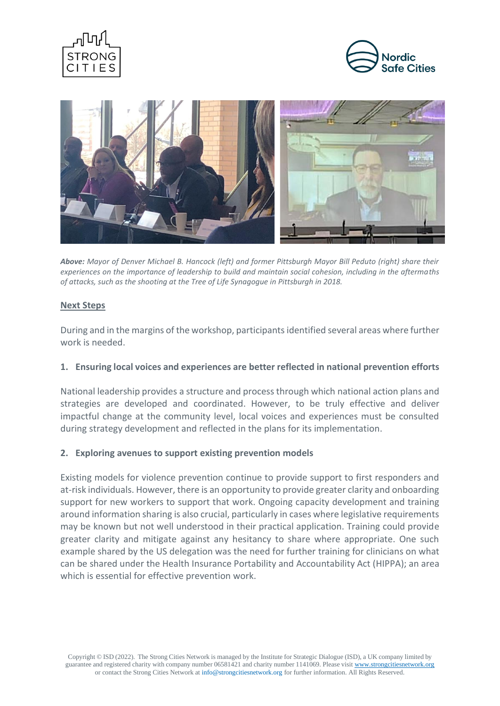





*Above: Mayor of Denver Michael B. Hancock (left) and former Pittsburgh Mayor Bill Peduto (right) share their experiences on the importance of leadership to build and maintain social cohesion, including in the aftermaths of attacks, such as the shooting at the Tree of Life Synagogue in Pittsburgh in 2018.* 

#### **Next Steps**

During and in the margins of the workshop, participants identified several areas where further work is needed.

## **1. Ensuring local voices and experiences are better reflected in national prevention efforts**

National leadership provides a structure and process through which national action plans and strategies are developed and coordinated. However, to be truly effective and deliver impactful change at the community level, local voices and experiences must be consulted during strategy development and reflected in the plans for its implementation.

## **2. Exploring avenues to support existing prevention models**

Existing models for violence prevention continue to provide support to first responders and at-risk individuals. However, there is an opportunity to provide greater clarity and onboarding support for new workers to support that work. Ongoing capacity development and training around information sharing is also crucial, particularly in cases where legislative requirements may be known but not well understood in their practical application. Training could provide greater clarity and mitigate against any hesitancy to share where appropriate. One such example shared by the US delegation was the need for further training for clinicians on what can be shared under the Health Insurance Portability and Accountability Act (HIPPA); an area which is essential for effective prevention work.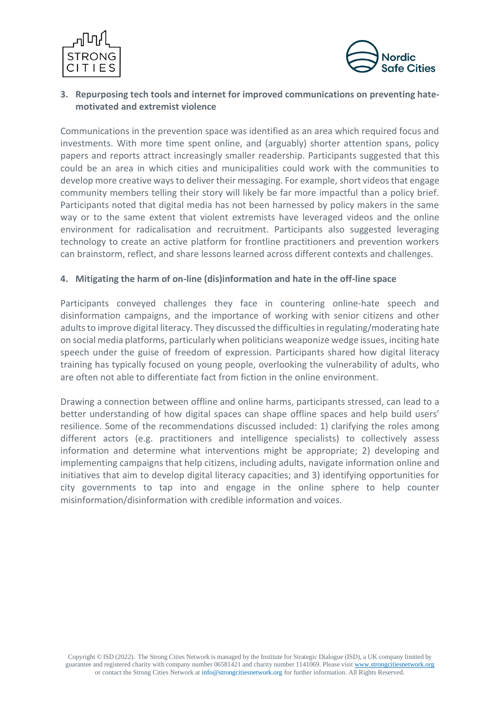



# **3. Repurposing tech tools and internet for improved communications on preventing hatemotivated and extremist violence**

Communications in the prevention space was identified as an area which required focus and investments. With more time spent online, and (arguably) shorter attention spans, policy papers and reports attract increasingly smaller readership. Participants suggested that this could be an area in which cities and municipalities could work with the communities to develop more creative ways to deliver their messaging. For example, short videos that engage community members telling their story will likely be far more impactful than a policy brief. Participants noted that digital media has not been harnessed by policy makers in the same way or to the same extent that violent extremists have leveraged videos and the online environment for radicalisation and recruitment. Participants also suggested leveraging technology to create an active platform for frontline practitioners and prevention workers can brainstorm, reflect, and share lessons learned across different contexts and challenges.

# **4. Mitigating the harm of on-line (dis)information and hate in the off-line space**

Participants conveyed challenges they face in countering online-hate speech and disinformation campaigns, and the importance of working with senior citizens and other adults to improve digital literacy. They discussed the difficulties in regulating/moderating hate on social media platforms, particularly when politicians weaponize wedge issues, inciting hate speech under the guise of freedom of expression. Participants shared how digital literacy training has typically focused on young people, overlooking the vulnerability of adults, who are often not able to differentiate fact from fiction in the online environment.

Drawing a connection between offline and online harms, participants stressed, can lead to a better understanding of how digital spaces can shape offline spaces and help build users' resilience. Some of the recommendations discussed included: 1) clarifying the roles among different actors (e.g. practitioners and intelligence specialists) to collectively assess information and determine what interventions might be appropriate; 2) developing and implementing campaigns that help citizens, including adults, navigate information online and initiatives that aim to develop digital literacy capacities; and 3) identifying opportunities for city governments to tap into and engage in the online sphere to help counter misinformation/disinformation with credible information and voices.